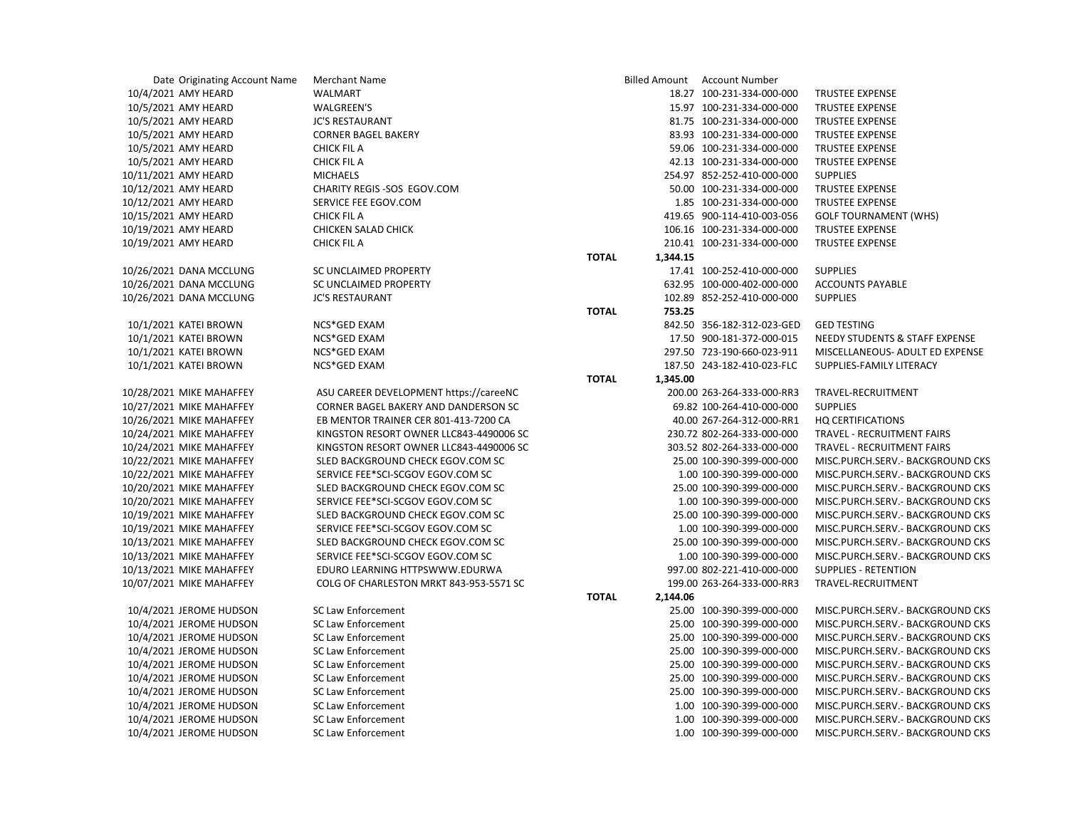| Date Originating Account Name | <b>Merchant Name</b>                    |              |          | Billed Amount Account Number |                                   |
|-------------------------------|-----------------------------------------|--------------|----------|------------------------------|-----------------------------------|
| 10/4/2021 AMY HEARD           | <b>WALMART</b>                          |              |          | 18.27 100-231-334-000-000    | <b>TRUSTEE EXPENSE</b>            |
| 10/5/2021 AMY HEARD           | <b>WALGREEN'S</b>                       |              |          | 15.97 100-231-334-000-000    | <b>TRUSTEE EXPENSE</b>            |
| 10/5/2021 AMY HEARD           | <b>JC'S RESTAURANT</b>                  |              |          | 81.75 100-231-334-000-000    | <b>TRUSTEE EXPENSE</b>            |
| 10/5/2021 AMY HEARD           | <b>CORNER BAGEL BAKERY</b>              |              |          | 83.93 100-231-334-000-000    | <b>TRUSTEE EXPENSE</b>            |
| 10/5/2021 AMY HEARD           | CHICK FIL A                             |              |          | 59.06 100-231-334-000-000    | <b>TRUSTEE EXPENSE</b>            |
| 10/5/2021 AMY HEARD           | <b>CHICK FIL A</b>                      |              |          | 42.13 100-231-334-000-000    | <b>TRUSTEE EXPENSE</b>            |
| 10/11/2021 AMY HEARD          | <b>MICHAELS</b>                         |              |          | 254.97 852-252-410-000-000   | <b>SUPPLIES</b>                   |
| 10/12/2021 AMY HEARD          | CHARITY REGIS - SOS EGOV.COM            |              |          | 50.00 100-231-334-000-000    | <b>TRUSTEE EXPENSE</b>            |
| 10/12/2021 AMY HEARD          | SERVICE FEE EGOV.COM                    |              |          | 1.85 100-231-334-000-000     | TRUSTEE EXPENSE                   |
| 10/15/2021 AMY HEARD          | <b>CHICK FIL A</b>                      |              |          | 419.65 900-114-410-003-056   | <b>GOLF TOURNAMENT (WHS)</b>      |
| 10/19/2021 AMY HEARD          | CHICKEN SALAD CHICK                     |              |          | 106.16 100-231-334-000-000   | TRUSTEE EXPENSE                   |
| 10/19/2021 AMY HEARD          | <b>CHICK FIL A</b>                      |              |          | 210.41 100-231-334-000-000   | <b>TRUSTEE EXPENSE</b>            |
|                               |                                         | <b>TOTAL</b> | 1,344.15 |                              |                                   |
| 10/26/2021 DANA MCCLUNG       | SC UNCLAIMED PROPERTY                   |              |          | 17.41 100-252-410-000-000    | <b>SUPPLIES</b>                   |
| 10/26/2021 DANA MCCLUNG       | SC UNCLAIMED PROPERTY                   |              |          | 632.95 100-000-402-000-000   | <b>ACCOUNTS PAYABLE</b>           |
| 10/26/2021 DANA MCCLUNG       | <b>JC'S RESTAURANT</b>                  |              |          | 102.89 852-252-410-000-000   | <b>SUPPLIES</b>                   |
|                               |                                         | <b>TOTAL</b> | 753.25   |                              |                                   |
| 10/1/2021 KATEI BROWN         | NCS*GED EXAM                            |              |          | 842.50 356-182-312-023-GED   | <b>GED TESTING</b>                |
| 10/1/2021 KATEI BROWN         | NCS*GED EXAM                            |              |          | 17.50 900-181-372-000-015    | NEEDY STUDENTS & STAFF EXPENSE    |
| 10/1/2021 KATEI BROWN         | NCS*GED EXAM                            |              |          | 297.50 723-190-660-023-911   | MISCELLANEOUS- ADULT ED EXPENSE   |
| 10/1/2021 KATEI BROWN         | NCS*GED EXAM                            |              |          | 187.50 243-182-410-023-FLC   | SUPPLIES-FAMILY LITERACY          |
|                               |                                         | <b>TOTAL</b> | 1,345.00 |                              |                                   |
| 10/28/2021 MIKE MAHAFFEY      | ASU CAREER DEVELOPMENT https://careeNC  |              |          | 200.00 263-264-333-000-RR3   | TRAVEL-RECRUITMENT                |
| 10/27/2021 MIKE MAHAFFEY      | CORNER BAGEL BAKERY AND DANDERSON SC    |              |          | 69.82 100-264-410-000-000    | <b>SUPPLIES</b>                   |
| 10/26/2021 MIKE MAHAFFEY      | EB MENTOR TRAINER CER 801-413-7200 CA   |              |          | 40.00 267-264-312-000-RR1    | <b>HQ CERTIFICATIONS</b>          |
| 10/24/2021 MIKE MAHAFFEY      | KINGSTON RESORT OWNER LLC843-4490006 SC |              |          | 230.72 802-264-333-000-000   | TRAVEL - RECRUITMENT FAIRS        |
| 10/24/2021 MIKE MAHAFFEY      | KINGSTON RESORT OWNER LLC843-4490006 SC |              |          | 303.52 802-264-333-000-000   | TRAVEL - RECRUITMENT FAIRS        |
| 10/22/2021 MIKE MAHAFFEY      | SLED BACKGROUND CHECK EGOV.COM SC       |              |          | 25.00 100-390-399-000-000    | MISC.PURCH.SERV.- BACKGROUND CKS  |
| 10/22/2021 MIKE MAHAFFEY      | SERVICE FEE*SCI-SCGOV EGOV.COM SC       |              |          | 1.00 100-390-399-000-000     | MISC.PURCH.SERV.- BACKGROUND CKS  |
| 10/20/2021 MIKE MAHAFFEY      | SLED BACKGROUND CHECK EGOV.COM SC       |              |          | 25.00 100-390-399-000-000    | MISC.PURCH.SERV.- BACKGROUND CKS  |
| 10/20/2021 MIKE MAHAFFEY      | SERVICE FEE*SCI-SCGOV EGOV.COM SC       |              |          | 1.00 100-390-399-000-000     | MISC.PURCH.SERV.- BACKGROUND CKS  |
| 10/19/2021 MIKE MAHAFFEY      | SLED BACKGROUND CHECK EGOV.COM SC       |              |          | 25.00 100-390-399-000-000    | MISC.PURCH.SERV.- BACKGROUND CKS  |
| 10/19/2021 MIKE MAHAFFEY      | SERVICE FEE*SCI-SCGOV EGOV.COM SC       |              |          | 1.00 100-390-399-000-000     | MISC.PURCH.SERV.- BACKGROUND CKS  |
| 10/13/2021 MIKE MAHAFFEY      | SLED BACKGROUND CHECK EGOV.COM SC       |              |          | 25.00 100-390-399-000-000    | MISC.PURCH.SERV.- BACKGROUND CKS  |
| 10/13/2021 MIKE MAHAFFEY      | SERVICE FEE*SCI-SCGOV EGOV.COM SC       |              |          | 1.00 100-390-399-000-000     | MISC.PURCH.SERV.- BACKGROUND CKS  |
| 10/13/2021 MIKE MAHAFFEY      | EDURO LEARNING HTTPSWWW.EDURWA          |              |          | 997.00 802-221-410-000-000   | <b>SUPPLIES - RETENTION</b>       |
| 10/07/2021 MIKE MAHAFFEY      | COLG OF CHARLESTON MRKT 843-953-5571 SC |              |          | 199.00 263-264-333-000-RR3   | TRAVEL-RECRUITMENT                |
|                               |                                         | <b>TOTAL</b> | 2,144.06 |                              |                                   |
| 10/4/2021 JEROME HUDSON       | <b>SC Law Enforcement</b>               |              |          | 25.00 100-390-399-000-000    | MISC.PURCH.SERV.- BACKGROUND CKS  |
| 10/4/2021 JEROME HUDSON       | <b>SC Law Enforcement</b>               |              |          | 25.00 100-390-399-000-000    | MISC.PURCH.SERV.- BACKGROUND CKS  |
| 10/4/2021 JEROME HUDSON       | <b>SC Law Enforcement</b>               |              |          | 25.00 100-390-399-000-000    | MISC.PURCH.SERV.- BACKGROUND CKS  |
| 10/4/2021 JEROME HUDSON       | <b>SC Law Enforcement</b>               |              |          | 25.00 100-390-399-000-000    | MISC.PURCH.SERV. - BACKGROUND CKS |
|                               |                                         |              |          |                              |                                   |

10/4/2021 JEROME HUDSON SC Law Enforcement 25.00 100-390-399-000-000 MISC.PURCH.SERV.- BACKGROUND CKS 10/4/2021 JEROME HUDSON SC Law Enforcement 25.00 100-390-399-000-000 MISC.PURCH.SERV.- BACKGROUND CKS 10/4/2021 JEROME HUDSON SC Law Enforcement 25.00 100-390-399-000-000 MISC.PURCH.SERV.- BACKGROUND CKS 10/4/2021 JEROME HUDSON SC Law Enforcement 1.00 100-390-399-000-000 MISC.PURCH.SERV.- BACKGROUND CKS 10/4/2021 JEROME HUDSON SC Law Enforcement 1.00 100-390-399-000-000 MISC.PURCH.SERV.- BACKGROUND CKS 10/4/2021 JEROME HUDSON SC Law Enforcement 1.00 100-390-399-000-000 MISC.PURCH.SERV.- BACKGROUND CKS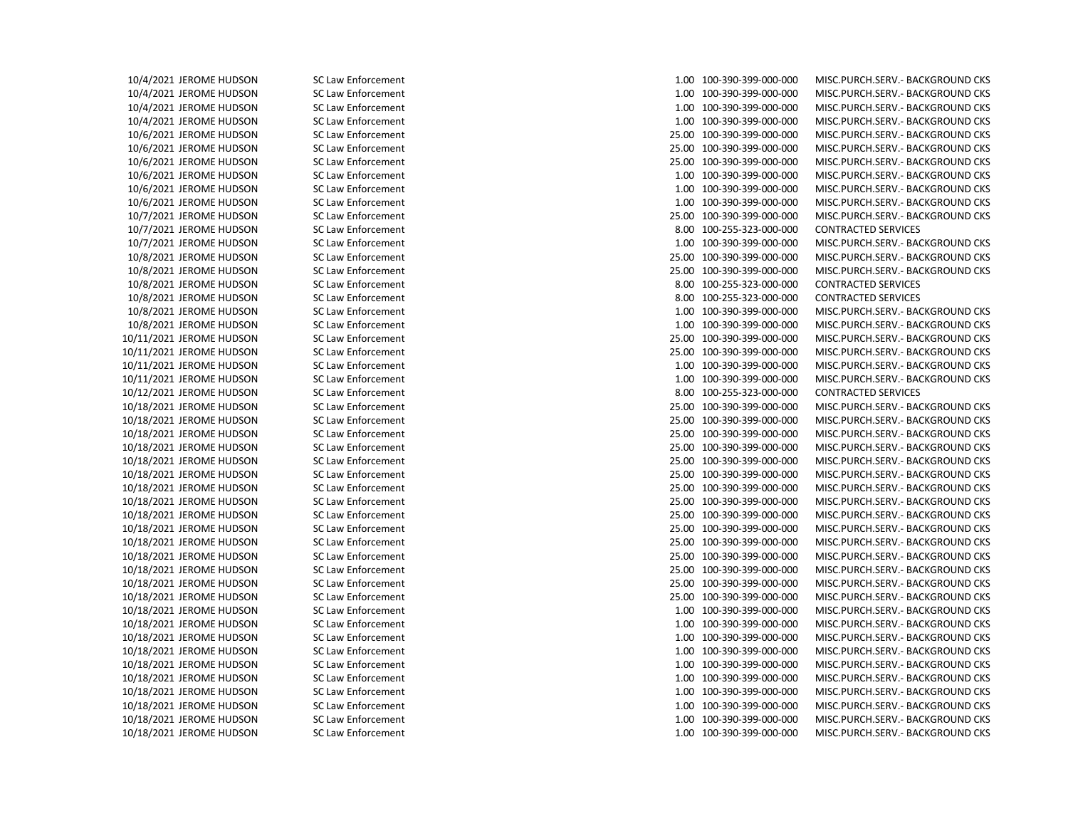10/4/2021 JEROME HUDSON SC Law Enforcement 1.00 100-390-399-000-000 MISC.PURCH.SERV.- BACKGROUND CKS 10/4/2021 JEROME HUDSON SC Law Enforcement 1.00 100-390-399-000-000 MISC.PURCH.SERV.- BACKGROUND CKS 10/4/2021 JEROME HUDSON SC Law Enforcement 1.00 100-390-399-000-000 MISC.PURCH.SERV.- BACKGROUND CKS 10/4/2021 JEROME HUDSON SC Law Enforcement 1.00 100-390-399-000-000 MISC.PURCH.SERV.- BACKGROUND CKS 10/6/2021 JEROME HUDSON SC Law Enforcement 25.00 100-390-399-000-000 MISC.PURCH.SERV.- BACKGROUND CKS 10/6/2021 JEROME HUDSON SC Law Enforcement 25.00 100-390-399-000-000 MISC.PURCH.SERV.- BACKGROUND CKS 10/6/2021 JEROME HUDSON SC Law Enforcement 25.00 100-390-399-000-000 MISC.PURCH.SERV.- BACKGROUND CKS 10/6/2021 JEROME HUDSON SC Law Enforcement 1.00 100-390-399-000-000 MISC.PURCH.SERV.- BACKGROUND CKS 10/6/2021 JEROME HUDSON SC Law Enforcement 1.00 100-390-399-000-000 MISC.PURCH.SERV.- BACKGROUND CKS 10/6/2021 JEROME HUDSON SC Law Enforcement 1.00 100-390-399-000-000 MISC.PURCH.SERV.- BACKGROUND CKS 10/7/2021 JEROME HUDSON SC Law Enforcement 25.00 100-390-399-000-000 MISC.PURCH.SERV.- BACKGROUND CKS 10/7/2021 JEROME HUDSON SC Law Enforcement 8.00 100-255-323-000-000 CONTRACTED SERVICES 10/7/2021 JEROME HUDSON SC Law Enforcement 1.00 100-390-399-000-000 MISC.PURCH.SERV.- BACKGROUND CKS 10/8/2021 JEROME HUDSON SC Law Enforcement 25.00 100-390-399-000-000 MISC.PURCH.SERV.- BACKGROUND CKS 10/8/2021 JEROME HUDSON SC Law Enforcement 25.00 100-390-399-000-000 MISC.PURCH.SERV.- BACKGROUND CKS 10/8/2021 JEROME HUDSON SC Law Enforcement 8.00 100-255-323-000-000 CONTRACTED SERVICES 10/8/2021 JEROME HUDSON SC Law Enforcement 8.00 100-255-323-000-000 CONTRACTED SERVICES 10/8/2021 JEROME HUDSON SC Law Enforcement 1.00 100-390-399-000-000 MISC.PURCH.SERV.- BACKGROUND CKS 10/8/2021 JEROME HUDSON SC Law Enforcement 1.00 100-390-399-000-000 MISC.PURCH.SERV.- BACKGROUND CKS 10/11/2021 JEROME HUDSON SC Law Enforcement 25.00 100-390-399-000-000 MISC.PURCH.SERV.- BACKGROUND CKS 10/11/2021 JEROME HUDSON SC Law Enforcement 25.00 100-390-399-000-000 MISC.PURCH.SERV.- BACKGROUND CKS 10/11/2021 JEROME HUDSON SC Law Enforcement 1.00 100-390-399-000-000 MISC.PURCH.SERV.- BACKGROUND CKS 10/11/2021 JEROME HUDSON SC Law Enforcement 1.00 100-390-399-000-000 MISC.PURCH.SERV.- BACKGROUND CKS 10/12/2021 JEROME HUDSON SC Law Enforcement 8.00 100-255-323-000-000 CONTRACTED SERVICES 10/18/2021 JEROME HUDSON SC Law Enforcement 25.00 100-390-399-000-000 MISC.PURCH.SERV.- BACKGROUND CKS 10/18/2021 JEROME HUDSON SC Law Enforcement 25.00 100-390-399-000-000 MISC.PURCH.SERV.- BACKGROUND CKS 10/18/2021 JEROME HUDSON SC Law Enforcement 25.00 100-390-399-000-000 MISC.PURCH.SERV.- BACKGROUND CKS 10/18/2021 JEROME HUDSON SC Law Enforcement 25.00 100-390-399-000-000 MISC.PURCH.SERV.- BACKGROUND CKS 10/18/2021 JEROME HUDSON SC Law Enforcement 25.00 100-390-399-000-000 MISC.PURCH.SERV.- BACKGROUND CKS 10/18/2021 JEROME HUDSON SC Law Enforcement 25.00 100-390-399-000-000 MISC.PURCH.SERV.- BACKGROUND CKS 10/18/2021 JEROME HUDSON SC Law Enforcement 25.00 100-390-399-000-000 MISC.PURCH.SERV.- BACKGROUND CKS 10/18/2021 JEROME HUDSON SC Law Enforcement 25.00 100-390-399-000-000 MISC.PURCH.SERV.- BACKGROUND CKS 10/18/2021 JEROME HUDSON SC Law Enforcement 25.00 100-390-399-000-000 MISC.PURCH.SERV.- BACKGROUND CKS 10/18/2021 JEROME HUDSON SC Law Enforcement 25.00 100-390-399-000-000 MISC.PURCH.SERV.- BACKGROUND CKS 10/18/2021 JEROME HUDSON SC Law Enforcement 25.00 100-390-399-000-000 MISC.PURCH.SERV.- BACKGROUND CKS 10/18/2021 JEROME HUDSON SC Law Enforcement 25.00 100-390-399-000-000 MISC.PURCH.SERV.- BACKGROUND CKS 10/18/2021 JEROME HUDSON SC Law Enforcement 25.00 100-390-399-000-000 MISC.PURCH.SERV.- BACKGROUND CKS 10/18/2021 JEROME HUDSON SC Law Enforcement 25.00 100-390-399-000-000 MISC.PURCH.SERV.- BACKGROUND CKS 10/18/2021 JEROME HUDSON SC Law Enforcement 25.00 100-390-399-000-000 MISC.PURCH.SERV.- BACKGROUND CKS 10/18/2021 JEROME HUDSON SC Law Enforcement 1.00 100-390-399-000-000 MISC.PURCH.SERV.- BACKGROUND CKS 10/18/2021 JEROME HUDSON SC Law Enforcement 1.00 100-390-399-000-000 MISC.PURCH.SERV.- BACKGROUND CKS 10/18/2021 JEROME HUDSON SC Law Enforcement 1.00 100-390-399-000-000 MISC.PURCH.SERV.- BACKGROUND CKS 10/18/2021 JEROME HUDSON SC Law Enforcement 1.00 100-390-399-000-000 MISC.PURCH.SERV.- BACKGROUND CKS 10/18/2021 JEROME HUDSON SC Law Enforcement 1.00 100-390-399-000-000 MISC.PURCH.SERV.- BACKGROUND CKS 10/18/2021 JEROME HUDSON SC Law Enforcement 1.00 100-390-399-000-000 MISC.PURCH.SERV.- BACKGROUND CKS 10/18/2021 JEROME HUDSON SC Law Enforcement 1.00 100-390-399-000-000 MISC.PURCH.SERV.- BACKGROUND CKS 10/18/2021 JEROME HUDSON SC Law Enforcement 1.00 100-390-399-000-000 MISC.PURCH.SERV.- BACKGROUND CKS 10/18/2021 JEROME HUDSON SC Law Enforcement 1.00 100-390-399-000-000 MISC.PURCH.SERV.- BACKGROUND CKS 10/18/2021 JEROME HUDSON SC Law Enforcement 1.00 100-390-399-000-000 MISC.PURCH.SERV.- BACKGROUND CKS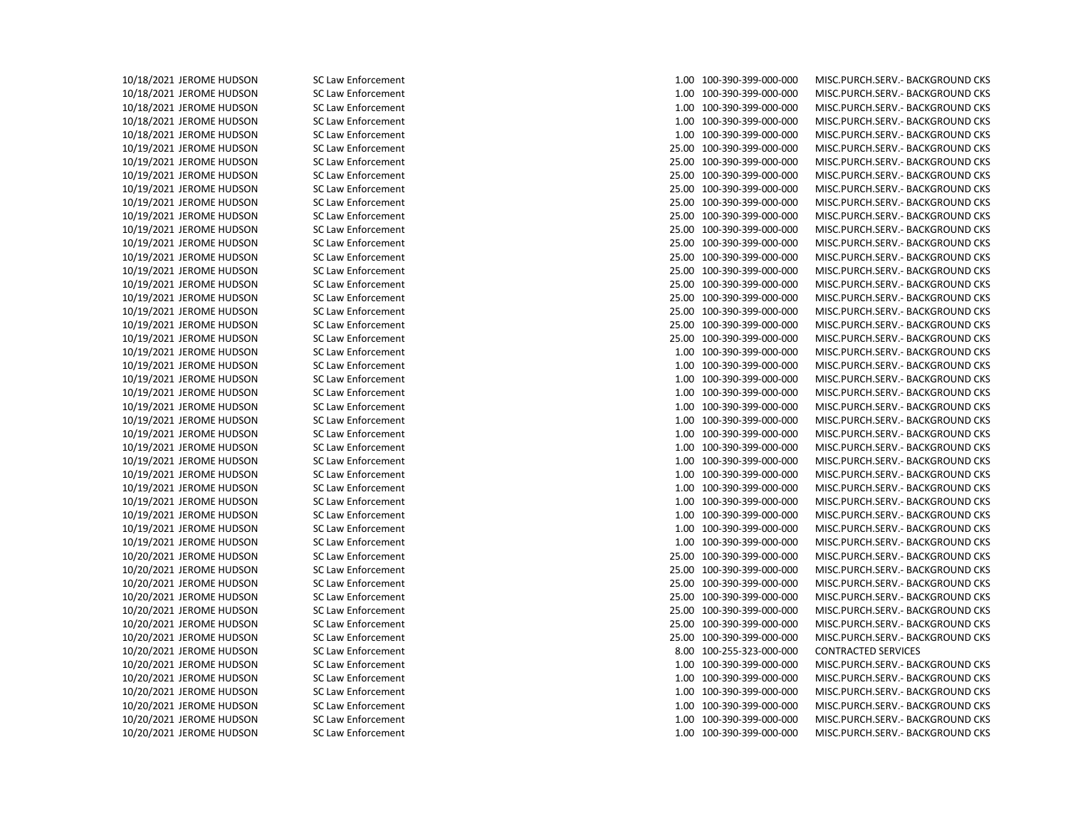10/18/2021 JEROME HUDSON SC Law Enforcement 1.00 100-390-399-000-000 MISC.PURCH.SERV.- BACKGROUND CKS 10/18/2021 JEROME HUDSON SC Law Enforcement 1.00 100-390-399-000-000 MISC.PURCH.SERV.- BACKGROUND CKS 10/18/2021 JEROME HUDSON SC Law Enforcement 1.00 100-390-399-000-000 MISC.PURCH.SERV.- BACKGROUND CKS 10/18/2021 JEROME HUDSON SC Law Enforcement 1.00 100-390-399-000-000 MISC.PURCH.SERV.- BACKGROUND CKS 10/18/2021 JEROME HUDSON SC Law Enforcement 1.00 100-390-399-000-000 MISC.PURCH.SERV.- BACKGROUND CKS 10/19/2021 JEROME HUDSON SC Law Enforcement 25.00 100-390-399-000-000 MISC.PURCH.SERV.- BACKGROUND CKS 10/19/2021 JEROME HUDSON SC Law Enforcement 25.00 100-390-399-000-000 MISC.PURCH.SERV.- BACKGROUND CKS 10/19/2021 JEROME HUDSON SC Law Enforcement 25.00 100-390-399-000-000 MISC.PURCH.SERV.- BACKGROUND CKS 10/19/2021 JEROME HUDSON SC Law Enforcement 25.00 100-390-399-000-000 MISC.PURCH.SERV.- BACKGROUND CKS 10/19/2021 JEROME HUDSON SC Law Enforcement 25.00 100-390-399-000-000 MISC.PURCH.SERV.- BACKGROUND CKS 10/19/2021 JEROME HUDSON SC Law Enforcement 25.00 100-390-399-000-000 MISC.PURCH.SERV.- BACKGROUND CKS 10/19/2021 JEROME HUDSON SC Law Enforcement 25.00 100-390-399-000-000 MISC.PURCH.SERV.- BACKGROUND CKS 10/19/2021 JEROME HUDSON SC Law Enforcement 25.00 100-390-399-000-000 MISC.PURCH.SERV.- BACKGROUND CKS 10/19/2021 JEROME HUDSON SC Law Enforcement 25.00 100-390-399-000-000 MISC.PURCH.SERV.- BACKGROUND CKS 10/19/2021 JEROME HUDSON SC Law Enforcement 25.00 100-390-399-000-000 MISC.PURCH.SERV.- BACKGROUND CKS 10/19/2021 JEROME HUDSON SC Law Enforcement 25.00 100-390-399-000-000 MISC.PURCH.SERV.- BACKGROUND CKS 10/19/2021 JEROME HUDSON SC Law Enforcement 25.00 100-390-399-000-000 MISC.PURCH.SERV.- BACKGROUND CKS 10/19/2021 JEROME HUDSON SC Law Enforcement 25.00 100-390-399-000-000 MISC.PURCH.SERV.- BACKGROUND CKS 10/19/2021 JEROME HUDSON SC Law Enforcement 25.00 100-390-399-000-000 MISC.PURCH.SERV.- BACKGROUND CKS 10/19/2021 JEROME HUDSON SC Law Enforcement 25.00 100-390-399-000-000 MISC.PURCH.SERV.- BACKGROUND CKS 10/19/2021 JEROME HUDSON SC Law Enforcement 1.00 100-390-399-000-000 MISC.PURCH.SERV.- BACKGROUND CKS 10/19/2021 JEROME HUDSON SC Law Enforcement 1.00 100-390-399-000-000 MISC.PURCH.SERV.- BACKGROUND CKS 10/19/2021 JEROME HUDSON SC Law Enforcement 1.00 100-390-399-000-000 MISC.PURCH.SERV.- BACKGROUND CKS 10/19/2021 JEROME HUDSON SC Law Enforcement 1.00 100-390-399-000-000 MISC.PURCH.SERV.- BACKGROUND CKS 10/19/2021 JEROME HUDSON SC Law Enforcement 1.00 100-390-399-000-000 MISC.PURCH.SERV.- BACKGROUND CKS 10/19/2021 JEROME HUDSON SC Law Enforcement 1.00 100-390-399-000-000 MISC.PURCH.SERV.- BACKGROUND CKS 10/19/2021 JEROME HUDSON SC Law Enforcement 1.00 100-390-399-000-000 MISC.PURCH.SERV.- BACKGROUND CKS 10/19/2021 JEROME HUDSON SC Law Enforcement 1.00 100-390-399-000-000 MISC.PURCH.SERV.- BACKGROUND CKS 10/19/2021 JEROME HUDSON SC Law Enforcement 1.00 100-390-399-000-000 MISC.PURCH.SERV.- BACKGROUND CKS 10/19/2021 JEROME HUDSON SC Law Enforcement 1.00 100-390-399-000-000 MISC.PURCH.SERV.- BACKGROUND CKS 10/19/2021 JEROME HUDSON SC Law Enforcement 1.00 100-390-399-000-000 MISC.PURCH.SERV.- BACKGROUND CKS 10/19/2021 JEROME HUDSON SC Law Enforcement 1.00 100-390-399-000-000 MISC.PURCH.SERV.- BACKGROUND CKS 10/19/2021 JEROME HUDSON SC Law Enforcement 1.00 100-390-399-000-000 MISC.PURCH.SERV.- BACKGROUND CKS 10/19/2021 JEROME HUDSON SC Law Enforcement 1.00 100-390-399-000-000 MISC.PURCH.SERV.- BACKGROUND CKS 10/19/2021 JEROME HUDSON SC Law Enforcement 1.00 100-390-399-000-000 MISC.PURCH.SERV.- BACKGROUND CKS 10/20/2021 JEROME HUDSON SC Law Enforcement 25.00 100-390-399-000-000 MISC.PURCH.SERV.- BACKGROUND CKS 10/20/2021 JEROME HUDSON SC Law Enforcement 25.00 100-390-399-000-000 MISC.PURCH.SERV.- BACKGROUND CKS 10/20/2021 JEROME HUDSON SC Law Enforcement 25.00 100-390-399-000-000 MISC.PURCH.SERV.- BACKGROUND CKS 10/20/2021 JEROME HUDSON SC Law Enforcement 25.00 100-390-399-000-000 MISC.PURCH.SERV.- BACKGROUND CKS 10/20/2021 JEROME HUDSON SC Law Enforcement 25.00 100-390-399-000-000 MISC.PURCH.SERV.- BACKGROUND CKS 10/20/2021 JEROME HUDSON SC Law Enforcement 25.00 100-390-399-000-000 MISC.PURCH.SERV.- BACKGROUND CKS 10/20/2021 JEROME HUDSON SC Law Enforcement 25.00 100-390-399-000-000 MISC.PURCH.SERV.- BACKGROUND CKS 10/20/2021 JEROME HUDSON SC Law Enforcement 8.00 100-255-323-000-000 CONTRACTED SERVICES 10/20/2021 JEROME HUDSON SC Law Enforcement 1.00 100-390-399-000-000 MISC.PURCH.SERV.- BACKGROUND CKS 10/20/2021 JEROME HUDSON SC Law Enforcement 1.00 100-390-399-000-000 MISC.PURCH.SERV.- BACKGROUND CKS 10/20/2021 JEROME HUDSON SC Law Enforcement 1.00 100-390-399-000-000 MISC.PURCH.SERV.- BACKGROUND CKS 10/20/2021 JEROME HUDSON SC Law Enforcement 1.00 100-390-399-000-000 MISC.PURCH.SERV.- BACKGROUND CKS 10/20/2021 JEROME HUDSON SC Law Enforcement 1.00 100-390-399-000-000 MISC.PURCH.SERV.- BACKGROUND CKS 10/20/2021 JEROME HUDSON SC Law Enforcement 1.00 100-390-399-000-000 MISC.PURCH.SERV.- BACKGROUND CKS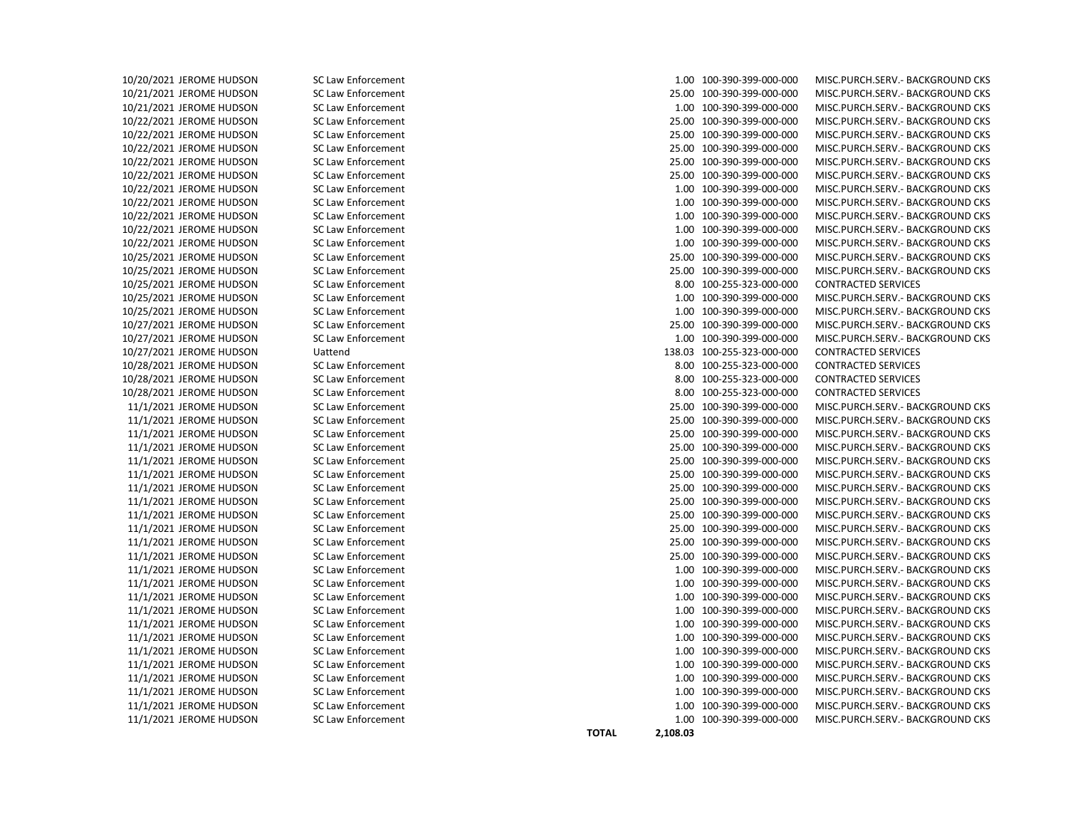10/20/2021 JEROME HUDSON SC Law Enforcement 1.00 100-390-399-000-000 MISC.PURCH.SERV.- BACKGROUND CKS 10/21/2021 JEROME HUDSON SC Law Enforcement 25.00 100-390-399-000-000 MISC.PURCH.SERV.- BACKGROUND CKS 10/21/2021 JEROME HUDSON SC Law Enforcement 1.00 100-390-399-000-000 MISC.PURCH.SERV.- BACKGROUND CKS 10/22/2021 JEROME HUDSON SC Law Enforcement 25.00 100-390-399-000-000 MISC.PURCH.SERV.- BACKGROUND CKS 10/22/2021 JEROME HUDSON SC Law Enforcement 25.00 100-390-399-000-000 MISC.PURCH.SERV.- BACKGROUND CKS 10/22/2021 JEROME HUDSON SC Law Enforcement 25.00 100-390-399-000-000 MISC.PURCH.SERV.- BACKGROUND CKS 10/22/2021 JEROME HUDSON SC Law Enforcement 25.00 100-390-399-000-000 MISC.PURCH.SERV.- BACKGROUND CKS 10/22/2021 JEROME HUDSON SC Law Enforcement 25.00 100-390-399-000-000 MISC.PURCH.SERV.- BACKGROUND CKS 10/22/2021 JEROME HUDSON SC Law Enforcement 1.00 100-390-399-000-000 MISC.PURCH.SERV.- BACKGROUND CKS 10/22/2021 JEROME HUDSON SC Law Enforcement 1.00 100-390-399-000-000 MISC.PURCH.SERV.- BACKGROUND CKS 10/22/2021 JEROME HUDSON SC Law Enforcement 1.00 100-390-399-000-000 MISC.PURCH.SERV.- BACKGROUND CKS 10/22/2021 JEROME HUDSON SC Law Enforcement 1.00 100-390-399-000-000 MISC.PURCH.SERV.- BACKGROUND CKS 10/22/2021 JEROME HUDSON SC Law Enforcement 1.00 100-390-399-000-000 MISC.PURCH.SERV.- BACKGROUND CKS 10/25/2021 JEROME HUDSON SC Law Enforcement 25.00 100-390-399-000-000 MISC.PURCH.SERV.- BACKGROUND CKS 10/25/2021 JEROME HUDSON SC Law Enforcement 25.00 100-390-399-000-000 MISC.PURCH.SERV.- BACKGROUND CKS 10/25/2021 JEROME HUDSON SC Law Enforcement 8.00 100-255-323-000-000 CONTRACTED SERVICES 10/25/2021 JEROME HUDSON SC Law Enforcement 1.00 100-390-399-000-000 MISC.PURCH.SERV.- BACKGROUND CKS 10/25/2021 JEROME HUDSON SC Law Enforcement 1.00 100-390-399-000-000 MISC.PURCH.SERV.- BACKGROUND CKS 10/27/2021 JEROME HUDSON SC Law Enforcement 25.00 100-390-399-000-000 MISC.PURCH.SERV.- BACKGROUND CKS 10/27/2021 JEROME HUDSON SC Law Enforcement 1.00 100-390-399-000-000 MISC.PURCH.SERV.- BACKGROUND CKS 10/27/2021 JEROME HUDSON Uattend 138.03 100-255-323-000-000 CONTRACTED SERVICES 10/28/2021 JEROME HUDSON SC Law Enforcement 8.00 100-255-323-000-000 CONTRACTED SERVICES 10/28/2021 JEROME HUDSON SC Law Enforcement 8.00 100-255-323-000-000 CONTRACTED SERVICES 10/28/2021 JEROME HUDSON SC Law Enforcement 8.00 100-255-323-000-000 CONTRACTED SERVICES 11/1/2021 JEROME HUDSON SC Law Enforcement 25.00 100-390-399-000-000 MISC.PURCH.SERV.- BACKGROUND CKS 11/1/2021 JEROME HUDSON SC Law Enforcement 25.00 100-390-399-000-000 MISC.PURCH.SERV.- BACKGROUND CKS 11/1/2021 JEROME HUDSON SC Law Enforcement 25.00 100-390-399-000-000 MISC.PURCH.SERV.- BACKGROUND CKS 11/1/2021 JEROME HUDSON SC Law Enforcement 25.00 100-390-399-000-000 MISC.PURCH.SERV.- BACKGROUND CKS 11/1/2021 JEROME HUDSON SC Law Enforcement 25.00 100-390-399-000-000 MISC.PURCH.SERV.- BACKGROUND CKS 11/1/2021 JEROME HUDSON SC Law Enforcement 25.00 100-390-399-000-000 MISC.PURCH.SERV.- BACKGROUND CKS 11/1/2021 JEROME HUDSON SC Law Enforcement 25.00 100-390-399-000-000 MISC.PURCH.SERV.- BACKGROUND CKS 11/1/2021 JEROME HUDSON SC Law Enforcement 25.00 100-390-399-000-000 MISC.PURCH.SERV.- BACKGROUND CKS 11/1/2021 JEROME HUDSON SC Law Enforcement 25.00 100-390-399-000-000 MISC.PURCH.SERV.- BACKGROUND CKS 11/1/2021 JEROME HUDSON SC Law Enforcement 25.00 100-390-399-000-000 MISC.PURCH.SERV.- BACKGROUND CKS 11/1/2021 JEROME HUDSON SC Law Enforcement 25.00 100-390-399-000-000 MISC.PURCH.SERV.- BACKGROUND CKS 11/1/2021 JEROME HUDSON SC Law Enforcement 25.00 100-390-399-000-000 MISC.PURCH.SERV.- BACKGROUND CKS 11/1/2021 JEROME HUDSON SC Law Enforcement 1.00 100-390-399-000-000 MISC.PURCH.SERV.- BACKGROUND CKS 11/1/2021 JEROME HUDSON SC Law Enforcement 1.00 100-390-399-000-000 MISC.PURCH.SERV.- BACKGROUND CKS 11/1/2021 JEROME HUDSON SC Law Enforcement 1.00 100-390-399-000-000 MISC.PURCH.SERV.- BACKGROUND CKS 11/1/2021 JEROME HUDSON SC Law Enforcement 1.00 100-390-399-000-000 MISC.PURCH.SERV.- BACKGROUND CKS 11/1/2021 JEROME HUDSON SC Law Enforcement 1.00 100-390-399-000-000 MISC.PURCH.SERV.- BACKGROUND CKS 11/1/2021 JEROME HUDSON SC Law Enforcement 1.00 100-390-399-000-000 MISC.PURCH.SERV.- BACKGROUND CKS 11/1/2021 JEROME HUDSON SC Law Enforcement 1.00 100-390-399-000-000 MISC.PURCH.SERV.- BACKGROUND CKS 11/1/2021 JEROME HUDSON SC Law Enforcement 1.00 100-390-399-000-000 MISC.PURCH.SERV.- BACKGROUND CKS 11/1/2021 JEROME HUDSON SC Law Enforcement 1.00 100-390-399-000-000 MISC.PURCH.SERV.- BACKGROUND CKS 11/1/2021 JEROME HUDSON SC Law Enforcement 1.00 100-390-399-000-000 MISC.PURCH.SERV.- BACKGROUND CKS 11/1/2021 JEROME HUDSON SC Law Enforcement 1.00 100-390-399-000-000 MISC.PURCH.SERV.- BACKGROUND CKS 11/1/2021 JEROME HUDSON SC Law Enforcement 1.00 100-390-399-000-000 MISC.PURCH.SERV.- BACKGROUND CKS